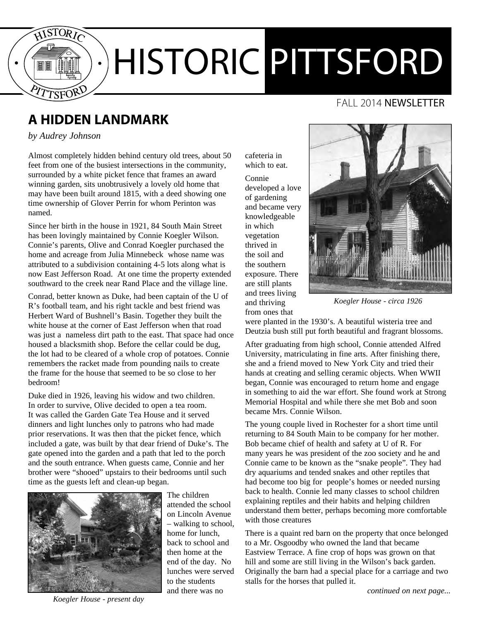

# HISTORIC PITTSFORD

#### FALL 2014 **NEWSLETTER**

## **A hidden landmark**

*by Audrey Johnson*

Almost completely hidden behind century old trees, about 50 feet from one of the busiest intersections in the community, surrounded by a white picket fence that frames an award winning garden, sits unobtrusively a lovely old home that may have been built around 1815, with a deed showing one time ownership of Glover Perrin for whom Perinton was named.

Since her birth in the house in 1921, 84 South Main Street has been lovingly maintained by Connie Koegler Wilson. Connie's parents, Olive and Conrad Koegler purchased the home and acreage from Julia Minnebeck whose name was attributed to a subdivision containing 4-5 lots along what is now East Jefferson Road. At one time the property extended southward to the creek near Rand Place and the village line.

Conrad, better known as Duke, had been captain of the U of R's football team, and his right tackle and best friend was Herbert Ward of Bushnell's Basin. Together they built the white house at the corner of East Jefferson when that road was just a nameless dirt path to the east. That space had once housed a blacksmith shop. Before the cellar could be dug, the lot had to be cleared of a whole crop of potatoes. Connie remembers the racket made from pounding nails to create the frame for the house that seemed to be so close to her bedroom!

Duke died in 1926, leaving his widow and two children. In order to survive, Olive decided to open a tea room. It was called the Garden Gate Tea House and it served dinners and light lunches only to patrons who had made prior reservations. It was then that the picket fence, which included a gate, was built by that dear friend of Duke's. The gate opened into the garden and a path that led to the porch and the south entrance. When guests came, Connie and her brother were "shooed" upstairs to their bedrooms until such time as the guests left and clean-up began.



attended the school on Lincoln Avenue – walking to school, home for lunch, back to school and then home at the end of the day. No lunches were served to the students and there was no

The children

cafeteria in which to eat.

Connie developed a love of gardening and became very knowledgeable in which vegetation thrived in the soil and the southern exposure. There are still plants and trees living and thriving from ones that



*Koegler House - circa 1926*

were planted in the 1930's. A beautiful wisteria tree and Deutzia bush still put forth beautiful and fragrant blossoms.

After graduating from high school, Connie attended Alfred University, matriculating in fine arts. After finishing there, she and a friend moved to New York City and tried their hands at creating and selling ceramic objects. When WWII began, Connie was encouraged to return home and engage in something to aid the war effort. She found work at Strong Memorial Hospital and while there she met Bob and soon became Mrs. Connie Wilson.

The young couple lived in Rochester for a short time until returning to 84 South Main to be company for her mother. Bob became chief of health and safety at U of R. For many years he was president of the zoo society and he and Connie came to be known as the "snake people". They had dry aquariums and tended snakes and other reptiles that had become too big for people's homes or needed nursing back to health. Connie led many classes to school children explaining reptiles and their habits and helping children understand them better, perhaps becoming more comfortable with those creatures

There is a quaint red barn on the property that once belonged to a Mr. Osgoodby who owned the land that became Eastview Terrace. A fine crop of hops was grown on that hill and some are still living in the Wilson's back garden. Originally the barn had a special place for a carriage and two stalls for the horses that pulled it.

*Koegler House - present day*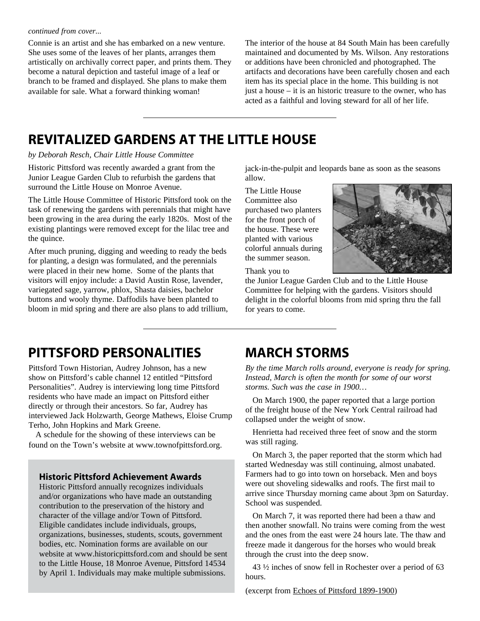#### *continued from cover...*

Connie is an artist and she has embarked on a new venture. She uses some of the leaves of her plants, arranges them artistically on archivally correct paper, and prints them. They become a natural depiction and tasteful image of a leaf or branch to be framed and displayed. She plans to make them available for sale. What a forward thinking woman!

The interior of the house at 84 South Main has been carefully maintained and documented by Ms. Wilson. Any restorations or additions have been chronicled and photographed. The artifacts and decorations have been carefully chosen and each item has its special place in the home. This building is not just a house – it is an historic treasure to the owner, who has acted as a faithful and loving steward for all of her life.

## **Revitalized Gardens at the Little House**

*by Deborah Resch, Chair Little House Committee*

Historic Pittsford was recently awarded a grant from the Junior League Garden Club to refurbish the gardens that surround the Little House on Monroe Avenue.

The Little House Committee of Historic Pittsford took on the task of renewing the gardens with perennials that might have been growing in the area during the early 1820s. Most of the existing plantings were removed except for the lilac tree and the quince.

After much pruning, digging and weeding to ready the beds for planting, a design was formulated, and the perennials were placed in their new home. Some of the plants that visitors will enjoy include: a David Austin Rose, lavender, variegated sage, yarrow, phlox, Shasta daisies, bachelor buttons and wooly thyme. Daffodils have been planted to bloom in mid spring and there are also plans to add trillium, jack-in-the-pulpit and leopards bane as soon as the seasons allow.

The Little House Committee also purchased two planters for the front porch of the house. These were planted with various colorful annuals during the summer season.



Thank you to

the Junior League Garden Club and to the Little House Committee for helping with the gardens. Visitors should delight in the colorful blooms from mid spring thru the fall for years to come.

## **Pittsford Personalities**

Pittsford Town Historian, Audrey Johnson, has a new show on Pittsford's cable channel 12 entitled "Pittsford Personalities". Audrey is interviewing long time Pittsford residents who have made an impact on Pittsford either directly or through their ancestors. So far, Audrey has interviewed Jack Holzwarth, George Mathews, Eloise Crump Terho, John Hopkins and Mark Greene.

A schedule for the showing of these interviews can be found on the Town's website at www.townofpittsford.org.

#### **Historic Pittsford Achievement Awards**

Historic Pittsford annually recognizes individuals and/or organizations who have made an outstanding contribution to the preservation of the history and character of the village and/or Town of Pittsford. Eligible candidates include individuals, groups, organizations, businesses, students, scouts, government bodies, etc. Nomination forms are available on our website at www.historicpittsford.com and should be sent to the Little House, 18 Monroe Avenue, Pittsford 14534 by April 1. Individuals may make multiple submissions.

## **March Storms**

*By the time March rolls around, everyone is ready for spring. Instead, March is often the month for some of our worst storms. Such was the case in 1900…*

On March 1900, the paper reported that a large portion of the freight house of the New York Central railroad had collapsed under the weight of snow.

Henrietta had received three feet of snow and the storm was still raging.

On March 3, the paper reported that the storm which had started Wednesday was still continuing, almost unabated. Farmers had to go into town on horseback. Men and boys were out shoveling sidewalks and roofs. The first mail to arrive since Thursday morning came about 3pm on Saturday. School was suspended.

On March 7, it was reported there had been a thaw and then another snowfall. No trains were coming from the west and the ones from the east were 24 hours late. The thaw and freeze made it dangerous for the horses who would break through the crust into the deep snow.

43 ½ inches of snow fell in Rochester over a period of 63 hours.

(excerpt from Echoes of Pittsford 1899-1900)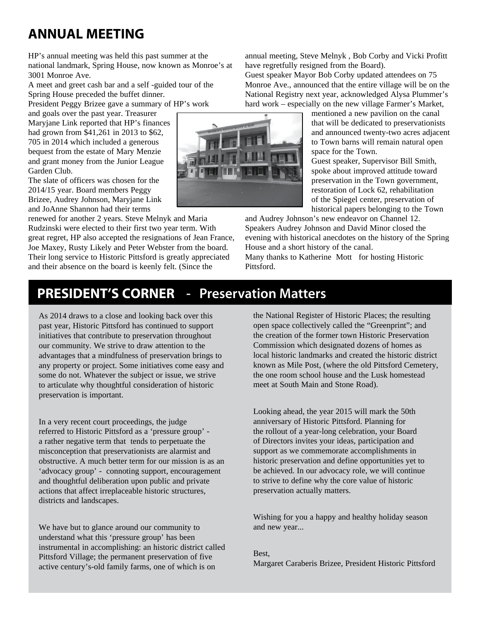# **Annual Meeting**

HP's annual meeting was held this past summer at the national landmark, Spring House, now known as Monroe's at 3001 Monroe Ave.

A meet and greet cash bar and a self -guided tour of the Spring House preceded the buffet dinner.

President Peggy Brizee gave a summary of HP's work

and goals over the past year. Treasurer Maryjane Link reported that HP's finances had grown from \$41,261 in 2013 to \$62, 705 in 2014 which included a generous bequest from the estate of Mary Menzie and grant money from the Junior League Garden Club.

The slate of officers was chosen for the 2014/15 year. Board members Peggy Brizee, Audrey Johnson, Maryjane Link and JoAnne Shannon had their terms

renewed for another 2 years. Steve Melnyk and Maria Rudzinski were elected to their first two year term. With great regret, HP also accepted the resignations of Jean France, Joe Maxey, Rusty Likely and Peter Webster from the board. Their long service to Historic Pittsford is greatly appreciated and their absence on the board is keenly felt. (Since the

annual meeting, Steve Melnyk , Bob Corby and Vicki Profitt have regretfully resigned from the Board).

Guest speaker Mayor Bob Corby updated attendees on 75 Monroe Ave., announced that the entire village will be on the National Registry next year, acknowledged Alysa Plummer's hard work – especially on the new village Farmer's Market,

> mentioned a new pavilion on the canal that will be dedicated to preservationists and announced twenty-two acres adjacent to Town barns will remain natural open space for the Town.

Guest speaker, Supervisor Bill Smith, spoke about improved attitude toward preservation in the Town government, restoration of Lock 62, rehabilitation of the Spiegel center, preservation of historical papers belonging to the Town

and Audrey Johnson's new endeavor on Channel 12. Speakers Audrey Johnson and David Minor closed the evening with historical anecdotes on the history of the Spring House and a short history of the canal.

Many thanks to Katherine Mott for hosting Historic Pittsford.

#### **PRESIDENT'S CORNER** - Preservation Matters

As 2014 draws to a close and looking back over this past year, Historic Pittsford has continued to support initiatives that contribute to preservation throughout our community. We strive to draw attention to the advantages that a mindfulness of preservation brings to any property or project. Some initiatives come easy and some do not. Whatever the subject or issue, we strive to articulate why thoughtful consideration of historic preservation is important.

In a very recent court proceedings, the judge referred to Historic Pittsford as a 'pressure group' a rather negative term that tends to perpetuate the misconception that preservationists are alarmist and obstructive. A much better term for our mission is as an 'advocacy group' - connoting support, encouragement and thoughtful deliberation upon public and private actions that affect irreplaceable historic structures, districts and landscapes.

We have but to glance around our community to understand what this 'pressure group' has been instrumental in accomplishing: an historic district called Pittsford Village; the permanent preservation of five active century's-old family farms, one of which is on

the National Register of Historic Places; the resulting open space collectively called the "Greenprint"; and the creation of the former town Historic Preservation Commission which designated dozens of homes as local historic landmarks and created the historic district known as Mile Post, (where the old Pittsford Cemetery, the one room school house and the Lusk homestead meet at South Main and Stone Road).

Looking ahead, the year 2015 will mark the 50th anniversary of Historic Pittsford. Planning for the rollout of a year-long celebration, your Board of Directors invites your ideas, participation and support as we commemorate accomplishments in historic preservation and define opportunities yet to be achieved. In our advocacy role, we will continue to strive to define why the core value of historic preservation actually matters.

Wishing for you a happy and healthy holiday season and new year...

Best, Margaret Caraberis Brizee, President Historic Pittsford